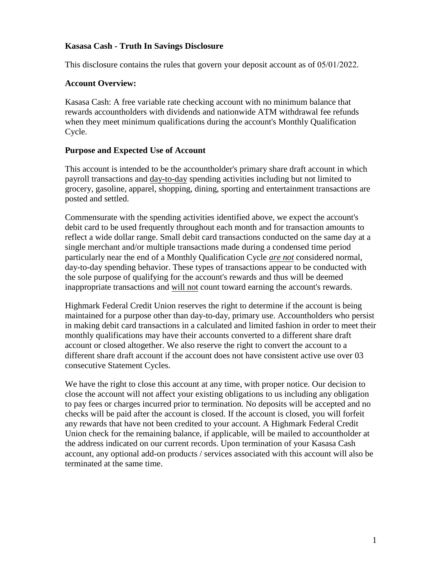## **Kasasa Cash - Truth In Savings Disclosure**

This disclosure contains the rules that govern your deposit account as of 05/01/2022.

## **Account Overview:**

Kasasa Cash: A free variable rate checking account with no minimum balance that rewards accountholders with dividends and nationwide ATM withdrawal fee refunds when they meet minimum qualifications during the account's Monthly Qualification Cycle.

# **Purpose and Expected Use of Account**

This account is intended to be the accountholder's primary share draft account in which payroll transactions and day-to-day spending activities including but not limited to grocery, gasoline, apparel, shopping, dining, sporting and entertainment transactions are posted and settled.

Commensurate with the spending activities identified above, we expect the account's debit card to be used frequently throughout each month and for transaction amounts to reflect a wide dollar range. Small debit card transactions conducted on the same day at a single merchant and/or multiple transactions made during a condensed time period particularly near the end of a Monthly Qualification Cycle *are not* considered normal, day-to-day spending behavior. These types of transactions appear to be conducted with the sole purpose of qualifying for the account's rewards and thus will be deemed inappropriate transactions and will not count toward earning the account's rewards.

Highmark Federal Credit Union reserves the right to determine if the account is being maintained for a purpose other than day-to-day, primary use. Accountholders who persist in making debit card transactions in a calculated and limited fashion in order to meet their monthly qualifications may have their accounts converted to a different share draft account or closed altogether. We also reserve the right to convert the account to a different share draft account if the account does not have consistent active use over 03 consecutive Statement Cycles.

We have the right to close this account at any time, with proper notice. Our decision to close the account will not affect your existing obligations to us including any obligation to pay fees or charges incurred prior to termination. No deposits will be accepted and no checks will be paid after the account is closed. If the account is closed, you will forfeit any rewards that have not been credited to your account. A Highmark Federal Credit Union check for the remaining balance, if applicable, will be mailed to accountholder at the address indicated on our current records. Upon termination of your Kasasa Cash account, any optional add-on products / services associated with this account will also be terminated at the same time.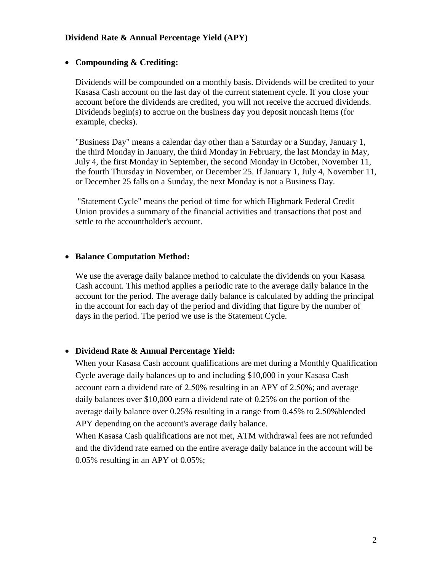## **Dividend Rate & Annual Percentage Yield (APY)**

## **Compounding & Crediting:**

Dividends will be compounded on a monthly basis. Dividends will be credited to your Kasasa Cash account on the last day of the current statement cycle. If you close your account before the dividends are credited, you will not receive the accrued dividends. Dividends begin(s) to accrue on the business day you deposit noncash items (for example, checks).

"Business Day" means a calendar day other than a Saturday or a Sunday, January 1, the third Monday in January, the third Monday in February, the last Monday in May, July 4, the first Monday in September, the second Monday in October, November 11, the fourth Thursday in November, or December 25. If January 1, July 4, November 11, or December 25 falls on a Sunday, the next Monday is not a Business Day.

"Statement Cycle" means the period of time for which Highmark Federal Credit Union provides a summary of the financial activities and transactions that post and settle to the accountholder's account.

#### **Balance Computation Method:**

We use the average daily balance method to calculate the dividends on your Kasasa Cash account. This method applies a periodic rate to the average daily balance in the account for the period. The average daily balance is calculated by adding the principal in the account for each day of the period and dividing that figure by the number of days in the period. The period we use is the Statement Cycle.

#### • **Dividend Rate & Annual Percentage Yield:**

When your Kasasa Cash account qualifications are met during a Monthly Qualification Cycle average daily balances up to and including \$10,000 in your Kasasa Cash account earn a dividend rate of 2.50% resulting in an APY of 2.50%; and average daily balances over \$10,000 earn a dividend rate of 0.25% on the portion of the average daily balance over 0.25% resulting in a range from 0.45% to 2.50%blended APY depending on the account's average daily balance.

When Kasasa Cash qualifications are not met, ATM withdrawal fees are not refunded and the dividend rate earned on the entire average daily balance in the account will be 0.05% resulting in an APY of 0.05%;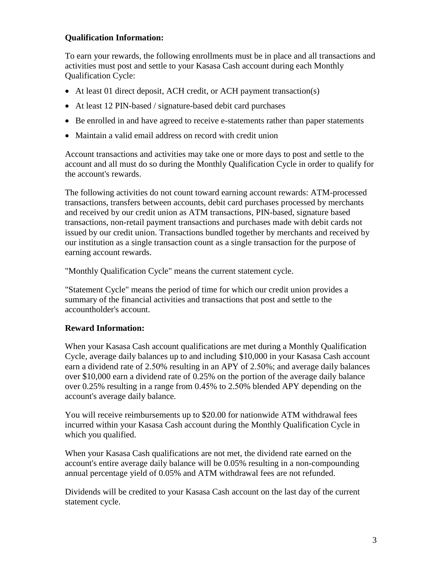# **Qualification Information:**

To earn your rewards, the following enrollments must be in place and all transactions and activities must post and settle to your Kasasa Cash account during each Monthly Qualification Cycle:

- At least 01 direct deposit, ACH credit, or ACH payment transaction(s)
- At least 12 PIN-based / signature-based debit card purchases
- Be enrolled in and have agreed to receive e-statements rather than paper statements
- Maintain a valid email address on record with credit union

Account transactions and activities may take one or more days to post and settle to the account and all must do so during the Monthly Qualification Cycle in order to qualify for the account's rewards.

The following activities do not count toward earning account rewards: ATM-processed transactions, transfers between accounts, debit card purchases processed by merchants and received by our credit union as ATM transactions, PIN-based, signature based transactions, non-retail payment transactions and purchases made with debit cards not issued by our credit union. Transactions bundled together by merchants and received by our institution as a single transaction count as a single transaction for the purpose of earning account rewards.

"Monthly Qualification Cycle" means the current statement cycle.

"Statement Cycle" means the period of time for which our credit union provides a summary of the financial activities and transactions that post and settle to the accountholder's account.

# **Reward Information:**

When your Kasasa Cash account qualifications are met during a Monthly Qualification Cycle, average daily balances up to and including \$10,000 in your Kasasa Cash account earn a dividend rate of 2.50% resulting in an APY of 2.50%; and average daily balances over \$10,000 earn a dividend rate of 0.25% on the portion of the average daily balance over 0.25% resulting in a range from 0.45% to 2.50% blended APY depending on the account's average daily balance.

You will receive reimbursements up to \$20.00 for nationwide ATM withdrawal fees incurred within your Kasasa Cash account during the Monthly Qualification Cycle in which you qualified.

When your Kasasa Cash qualifications are not met, the dividend rate earned on the account's entire average daily balance will be 0.05% resulting in a non-compounding annual percentage yield of 0.05% and ATM withdrawal fees are not refunded.

Dividends will be credited to your Kasasa Cash account on the last day of the current statement cycle.